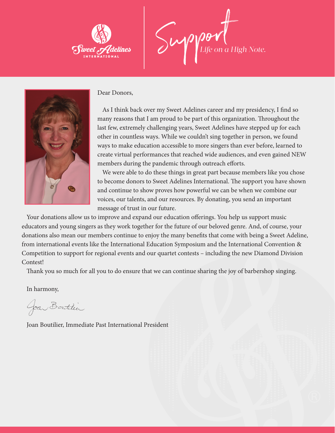

Support *Life on a High Note.*



Dear Donors,

As I think back over my Sweet Adelines career and my presidency, I find so many reasons that I am proud to be part of this organization. Throughout the last few, extremely challenging years, Sweet Adelines have stepped up for each other in countless ways. While we couldn't sing together in person, we found ways to make education accessible to more singers than ever before, learned to create virtual performances that reached wide audiences, and even gained NEW members during the pandemic through outreach efforts.

We were able to do these things in great part because members like you chose to become donors to Sweet Adelines International. The support you have shown and continue to show proves how powerful we can be when we combine our voices, our talents, and our resources. By donating, you send an important message of trust in our future.

Your donations allow us to improve and expand our education offerings. You help us support music educators and young singers as they work together for the future of our beloved genre. And, of course, your donations also mean our members continue to enjoy the many benefits that come with being a Sweet Adeline, from international events like the International Education Symposium and the International Convention & Competition to support for regional events and our quartet contests – including the new Diamond Division Contest!

Thank you so much for all you to do ensure that we can continue sharing the joy of barbershop singing.

In harmony,

Joan Bortelier

Joan Boutilier, Immediate Past International President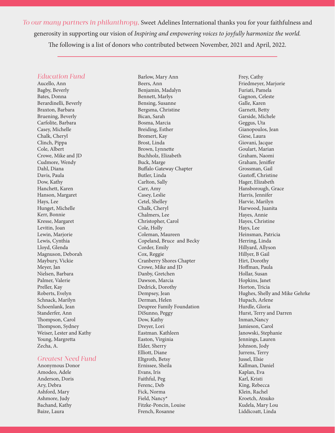*To our many partners in philanthropy,* Sweet Adelines International thanks you for your faithfulness and generosity in supporting our vision of *Inspiring and empowering voices to joyfully harmonize the world.* The following is a list of donors who contributed between November, 2021 and April, 2022.

## *Education Fund*

Aucello, Ann Bagby, Beverly Bates, Donna Berardinelli, Beverly Braxton, Barbara Bruening, Beverly Carfolite, Barbara Casey, Michelle Chalk, Cheryl Clinch, Pippa Cole, Albert Crowe, Mike and JD Cudmore, Wendy Dahl, Diana Davis, Paula Dow, Kathy Hanchett, Karen Hanson, Margaret Hays, Lee Hunget, Michelle Kerr, Bonnie Kresse, Margaret Levitin, Joan Lewin, Marjorie Lewis, Cynthia Lloyd, Glenda Magnuson, Deborah Maybury, Vickie Meyer, Jan Nielsen, Barbara Palmer, Valerie Preller, Kay Roberts, Evelyn Schnack, Marilyn Schoenlank, Jean Standerfer, Ann Thompson, Carol Thompson, Sydney Weiser, Lester and Kathy Young, Margretta Zecha, A.

## *Greatest Need Fund*

Anonymous Donor Amodeo, Adele Anderson, Doris Ary, Debra Ashford, Mary Ashmore, Judy Bachand, Kathy Baize, Laura

Barlow, Mary Ann Beers, Ann Benjamin, Madalyn Bennett, Marlys Bensing, Susanne Bergsma, Christine Bican, Sarah Bosma, Marcia Breiding, Esther Bromert, Kay Brost, Linda Brown, Lynnette Buchholz, Elizabeth Buck, Marge Buffalo Gateway Chapter Butler, Linda Carlton, Sally Carr, Amy Casey, Leslie Cetel, Shelley Chalk, Cheryl Chalmers, Lee Christopher, Carol Cole, Holly Coleman, Maureen Copeland, Bruce and Becky Corder, Emily Cox, Reggie Cranberry Shores Chapter Crowe, Mike and JD Danby, Gretchen Dawson, Marcia Dedrick, Dorothy Dempsey, Jean Derman, Helen Deupree Family Foundation DiSunno, Peggy Dow, Kathy Dreyer, Lori Eastman. Kathleen Easton, Virginia Elder, Sherry Elliott, Diane Eltgroth, Betsy Ernissee, Sheila Evans, Iris Faithful, Peg Ferenc, Deb Fick, Norma Field, Nancy\* Fitzke-Poncin, Louise French, Rosanne

Frey, Cathy Friedmeyer, Marjorie Furiati, Pamela Gagnon, Celeste Galle, Karen Garnett, Betty Garside, Michele Geggus, Uta Gianopoulos, Jean Giese, Laura Giovani, Jacque Goulart, Marian Graham, Naomi Graham, Jeniffer Grossman, Gail Gustoff, Christine Hager, Elizabeth Hansborough, Grace Harris, Jennifer Harvie, Marilyn Harwood, Juanita Hayes, Annie Hayes, Christine Hays, Lee Heinsman, Patricia Herring, Linda Hillyard, Allyson Hillyer, B Gail Hirt, Dorothy Hoffman, Paula Hollar, Susan Hopkins, Janet Horton, Tricia Hughes, Shelly and Mike Gehrke Hupach, Arlene Hurdle, Gloria Hurst, Terry and Darren Inman,Nancy Jamieson, Carol Janowski, Stephanie Jennings, Lauren Johnson, Jody Jurrens, Terry Jussel, Elsie Kallman, Daniel Kaplan, Eva Karl, Kristi King, Rebecca Klein, Rachel Kroetch, Atsuko Kudela, Mary Lou Liddicoatt, Linda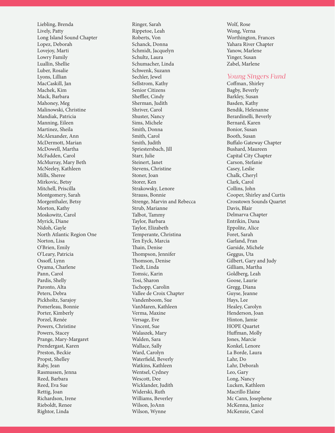Liebling, Brenda Lively, Patty Long Island Sound Chapter Lopez, Deborah Lovejoy, Marti Lowry Family Luallin, Shellie Luber, Rosalie Lyons, Lillian MacCaskill, Jan Machek, Kim Mack, Barbara Mahoney, Meg Malinowski, Christine Mandiak, Patricia Manning, Eileen Martinez, Sheila McAlexander, Ann McDermott, Marian McDowell, Martha McFadden, Carol McMurray, Mary Beth McNeeley, Kathleen Mills, Sheree Mirkovic, Betsy Mitchell, Priscilla Montgomery, Sarah Morgenthaler, Betsy Morton, Kathy Moskowitz, Carol Myrick, Diane Nidoh, Gayle North Atlantic Region One Norton, Lisa O'Brien, Emily O'Leary, Patricia Ossoff, Lynn Oyama, Charlene Pann, Carol Pardis, Shelly Paronto, Alta Peters, Debra Pickholtz, Sarajoy Pomerleau, Bonnie Porter, Kimberly Porzel, Renée Powers, Christine Powers, Stacey Prange, Mary-Margaret Prendergast, Karen Preston, Beckie Propst, Shelley Raby, Jean Rasmussen, Jenna Reed, Barbara Reed, Eva Sue Rettig, Joan Richardson, Irene Rieboldt, Renee Rightor, Linda

Ringer, Sarah Rippetoe, Leah Roberts, Von Schanck, Donna Schmidt, Jacquelyn Schultz, Laura Schumacher, Linda Schwenk, Suzann Sechler, Jewel Sellstrom, Kathy Senior Citizens Sheffler, Cindy Sherman, Judith Shriver, Carol Shuster, Nancy Sims, Michele Smith, Donna Smith, Carol Smith, Judith Spriestersbach, Jill Starr, Julie Steinert, Janet Stevens, Christine Stoner, Joan Storer, Ken Strakowsky, Lenore Strauss, Bonnie Strenge, Marvin and Rebecca Strub, Marianne Talbot, Tammy Taylor, Barbara Taylor, Elizabeth Temperante, Christina Ten Eyck, Marcia Thain, Denise Thompson, Jennifer Thomson, Denise Tiedt, Linda Tomsic, Karin Tosi, Sharon Tschopp, Carolin Vallee de Croix Chapter Vandenboom, Sue VanMaren, Kathleen Verma, Maxine Versage, Eve Vincent, Sue Walaszek, Mary Walden, Sara Wallace, Sally Ward, Carolyn Waterfield, Beverly Watkins, Kathleen Wentsel, Cydney Wescott, Dee Wicklander, Judith Widerski, Ruth Williams, Beverley Wilson, JoAnn Wilson, Wynne

Wolf, Rose Wong, Verna Worthington, Frances Yahara River Chapter Yanow, Marlene Yinger, Susan Zabel, Marlene

## *Young Singers Fund*

Coffman, Shirley Bagby, Beverly Barkley, Susan Basden, Kathy Bendik, Helenanne Berardinelli, Beverly Bernard, Karen Bonior, Susan Booth, Susan Buffalo Gateway Chapter Bushard, Maureen Capital City Chapter Carson, Stefanie Casey, Leslie Chalk, Cheryl Clark, Carol Collins, John Cooper, Shirley and Curtis Crosstown Sounds Quartet Davis, Blair Delmarva Chapter Entrikin, Dana Eppolite, Alice Foret, Sarah Garland, Fran Garside, Michele Geggus, Uta Gilbert, Gary and Judy Gilliam, Martha Goldberg, Leah Goose, Laurie Gregg, Diana Guyse, Jeanne Hays, Lee Healey, Carolyn Henderson, Joan Hinton, Jamie HOPE Quartet Huffman, Molly Jones, Marcie Konkel, Lenore La Borde, Laura Lahr, Do Lahr, Deborah Leo, Gary Long, Nancy Lucken, Kathleen Macrillo Elaine Mc Cann, Josephene McKenna, Janice McKenzie, Carol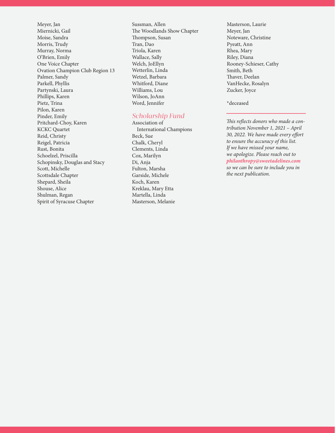Meyer, Jan Miernicki, Gail Moise, Sandra Morris, Trudy Murray, Norma O'Brien, Emily One Voice Chapter Ovation Champion Club Region 13 Palmer, Sandy Parkell, Phyllis Partynski, Laura Phillips, Karen Pietz, Trina Pilon, Karen Pinder, Emily Pritchard-Choy, Karen KCKC Quartet Reid, Christy Reigel, Patricia Rust, Bonita Schoelzel, Priscilla Schopinsky, Douglas and Stacy Scott, Michelle Scottsdale Chapter Shepard, Sheila Shouse, Alice Shulman, Regan Spirit of Syracuse Chapter

Sussman, Allen The Woodlands Show Chapter Thompson, Susan Tran, Dao Triola, Karen Wallace, Sally Welch, JoEllyn Wetterlin, Linda Wetzel, Barbara Whitford, Diane Williams, Lou Wilson, JoAnn Word, Jennifer

## *Scholarship Fund*

Association of International Champions Beck, Sue Chalk, Cheryl Clements, Linda Cox, Marilyn Di, Anja Fulton, Marsha Garside, Michele Koch, Karen Kreklau, Mary Etta Martella, Linda Masterson, Melanie

Masterson, Laurie Meyer, Jan Noteware, Christine Pyeatt, Ann Rhea, Mary Riley, Diana Rooney-Schieser, Cathy Smith, Beth Thaver, Deelan VanHecke, Rosalyn Zucker, Joyce

\*deceased

*This reflects donors who made a contribution November 1, 2021 – April 30, 2022. We have made every effort to ensure the accuracy of this list. If we have missed your name, we apologize. Please reach out to philanthropy@sweetadelines.com so we can be sure to include you in the next publication.*